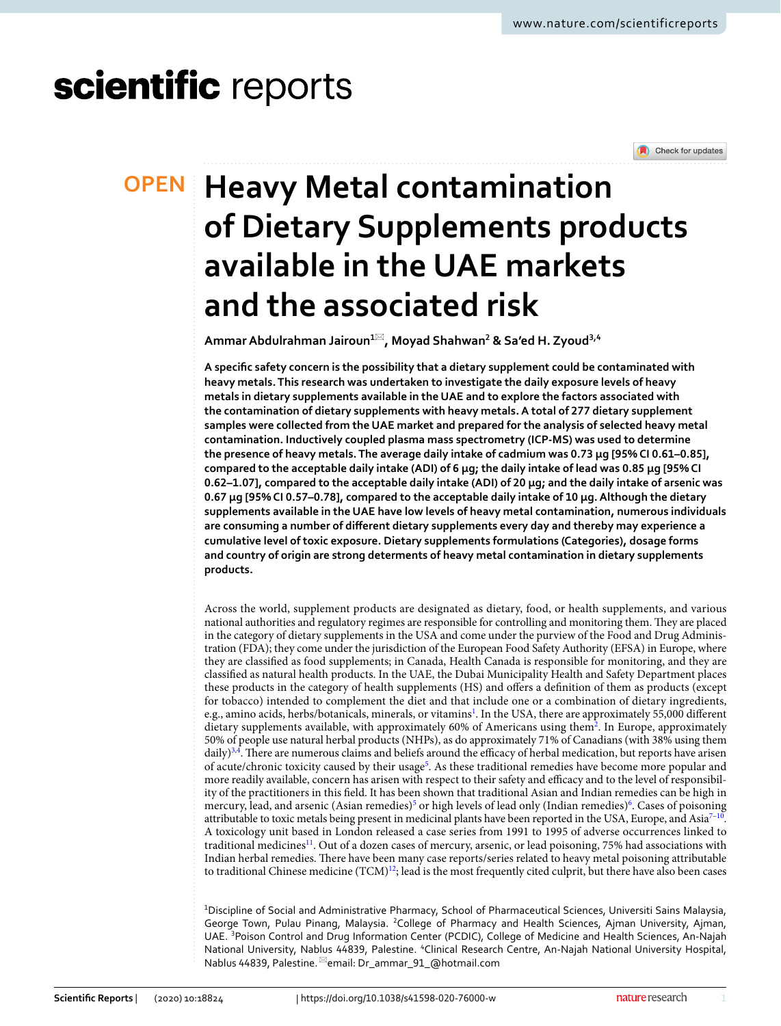# scientific reports

### **OPEN**



## **Heavy Metal contamination of Dietary Supplements products available in the UAE markets and the associated risk**

**Ammar Abdulrahman Jairoun<sup>1</sup>**\***, Moyad Shahwan<sup>2</sup> & Sa'ed H. Zyoud3,4**

**A specific safety concern is the possibility that a dietary supplement could be contaminated with heavy metals. This research was undertaken to investigate the daily exposure levels of heavy metals in dietary supplements available in the UAE and to explore the factors associated with the contamination of dietary supplements with heavy metals. A total of 277 dietary supplement samples were collected from the UAE market and prepared for the analysis of selected heavy metal contamination. Inductively coupled plasma mass spectrometry (ICP-MS) was used to determine the presence of heavy metals. The average daily intake of cadmium was 0.73 μg [95% CI 0.61–0.85], compared to the acceptable daily intake (ADI) of 6 μg; the daily intake of lead was 0.85 μg [95% CI 0.62–1.07], compared to the acceptable daily intake (ADI) of 20 μg; and the daily intake of arsenic was 0.67 μg [95% CI 0.57–0.78], compared to the acceptable daily intake of 10 μg. Although the dietary supplements available in the UAE have low levels of heavy metal contamination, numerous individuals are consuming a number of different dietary supplements every day and thereby may experience a cumulative level of toxic exposure. Dietary supplements formulations (Categories), dosage forms and country of origin are strong determents of heavy metal contamination in dietary supplements products.**

Across the world, supplement products are designated as dietary, food, or health supplements, and various national authorities and regulatory regimes are responsible for controlling and monitoring them. They are placed in the category of dietary supplements in the USA and come under the purview of the Food and Drug Administration (FDA); they come under the jurisdiction of the European Food Safety Authority (EFSA) in Europe, where they are classified as food supplements; in Canada, Health Canada is responsible for monitoring, and they are classified as natural health products. In the UAE, the Dubai Municipality Health and Safety Department places these products in the category of health supplements (HS) and offers a definition of them as products (except for tobacco) intended to complement the diet and that include one or a combination of dietary ingredients, e.g., amino acids, herbs/botanicals, minerals, or vitamins<sup>[1](#page-7-0)</sup>. In the USA, there are approximately 55,000 different dietary supplements available, with approximately 60% of Americans using them[2](#page-7-1) . In Europe, approximately 50% of people use natural herbal products (NHPs), as do approximately 71% of Canadians (with 38% using them daily)<sup>[3](#page-7-2),[4](#page-7-3)</sup>. There are numerous claims and beliefs around the efficacy of herbal medication, but reports have arisen of acute/chronic toxicity caused by their usage<sup>[5](#page-7-4)</sup>. As these traditional remedies have become more popular and more readily available, concern has arisen with respect to their safety and efficacy and to the level of responsibility of the practitioners in this field. It has been shown that traditional Asian and Indian remedies can be high in mercury, lead, and arsenic (Asian remedies)<sup>[5](#page-7-4)</sup> or high levels of lead only (Indian remedies)<sup>[6](#page-7-5)</sup>. Cases of poisoning attributable to toxic metals being present in medicinal plants have been reported in the USA, Europe, and Asia $^{7-10}$  $^{7-10}$  $^{7-10}$ . A toxicology unit based in London released a case series from 1991 to 1995 of adverse occurrences linked to traditional medicines<sup>[11](#page-7-8)</sup>. Out of a dozen cases of mercury, arsenic, or lead poisoning, 75% had associations with Indian herbal remedies. There have been many case reports/series related to heavy metal poisoning attributable to traditional Chinese medicine  $(TCM)^{12}$  $(TCM)^{12}$  $(TCM)^{12}$ ; lead is the most frequently cited culprit, but there have also been cases

<sup>1</sup>Discipline of Social and Administrative Pharmacy, School of Pharmaceutical Sciences, Universiti Sains Malaysia, George Town, Pulau Pinang, Malaysia. <sup>2</sup>College of Pharmacy and Health Sciences, Ajman University, Ajman, UAE. <sup>3</sup>Poison Control and Drug Information Center (PCDIC), College of Medicine and Health Sciences, An-Najah National University, Nablus 44839, Palestine. <sup>4</sup>Clinical Research Centre, An-Najah National University Hospital, Nablus 44839, Palestine. <sup>⊠</sup>email: Dr\_ammar\_91\_@hotmail.com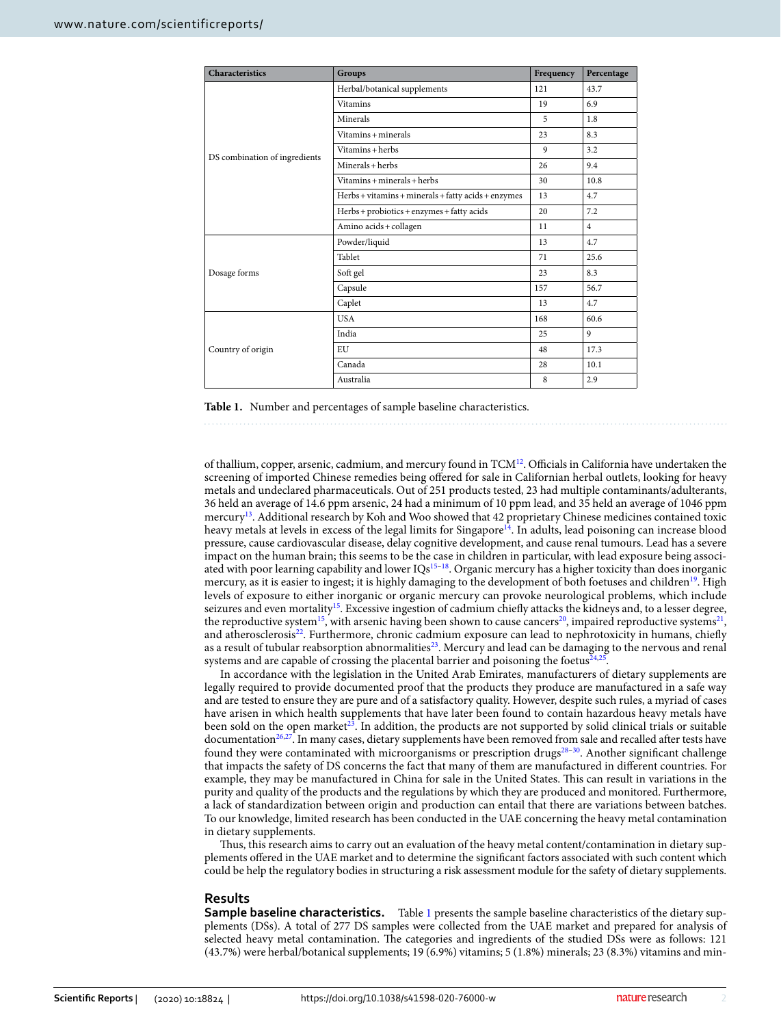| <b>Characteristics</b>        | <b>Groups</b>                                       | Frequency | Percentage     |
|-------------------------------|-----------------------------------------------------|-----------|----------------|
|                               | Herbal/botanical supplements                        | 121       | 43.7           |
|                               | <b>Vitamins</b>                                     | 19        | 6.9            |
|                               | Minerals                                            | 5         | 1.8            |
|                               | Vitamins + minerals                                 | 23        | 8.3            |
| DS combination of ingredients | Vitamins + herbs                                    | 9         | 3.2            |
|                               | Minerals + herbs                                    | 26        | 9.4            |
|                               | Vitamins + minerals + herbs                         | 30        | 10.8           |
|                               | Herbs + vitamins + minerals + fatty acids + enzymes | 13        | 4.7            |
|                               | Herbs + probiotics + enzymes + fatty acids          | 20        | 7.2            |
|                               | Amino acids + collagen                              | 11        | $\overline{4}$ |
|                               | Powder/liquid                                       | 13        | 4.7            |
|                               | Tablet                                              | 71        | 25.6           |
| Dosage forms                  | Soft gel                                            | 23        | 8.3            |
|                               | Capsule                                             | 157       | 56.7           |
|                               | Caplet                                              | 13        | 4.7            |
|                               | <b>USA</b>                                          | 168       | 60.6           |
|                               | India                                               | 25        | $\mathbf{q}$   |
| Country of origin             | EU                                                  | 48        | 17.3           |
|                               | Canada                                              | 28        | 10.1           |
|                               | Australia                                           | 8         | 2.9            |

<span id="page-1-0"></span>**Table 1.** Number and percentages of sample baseline characteristics.

of thallium, copper, arsenic, cadmium, and mercury found in TCM<sup>[12](#page-7-9)</sup>. Officials in California have undertaken the screening of imported Chinese remedies being offered for sale in Californian herbal outlets, looking for heavy metals and undeclared pharmaceuticals. Out of 251 products tested, 23 had multiple contaminants/adulterants, 36 held an average of 14.6 ppm arsenic, 24 had a minimum of 10 ppm lead, and 35 held an average of 1046 ppm mercury<sup>[13](#page-7-10)</sup>. Additional research by Koh and Woo showed that 42 proprietary Chinese medicines contained toxic heavy metals at levels in excess of the legal limits for Singapore<sup>[14](#page-7-11)</sup>. In adults, lead poisoning can increase blood pressure, cause cardiovascular disease, delay cognitive development, and cause renal tumours. Lead has a severe impact on the human brain; this seems to be the case in children in particular, with lead exposure being associated with poor learning capability and lower  $IQs<sup>15-18</sup>$  $IQs<sup>15-18</sup>$  $IQs<sup>15-18</sup>$ . Organic mercury has a higher toxicity than does inorganic mercury, as it is easier to ingest; it is highly damaging to the development of both foetuses and children<sup>[19](#page-7-14)</sup>. High levels of exposure to either inorganic or organic mercury can provoke neurological problems, which include seizures and even mortality<sup>[15](#page-7-12)</sup>. Excessive ingestion of cadmium chiefly attacks the kidneys and, to a lesser degree, the reproductive system<sup>[15](#page-7-12)</sup>, with arsenic having been shown to cause cancers<sup>[20](#page-7-15)</sup>, impaired reproductive systems<sup>[21](#page-7-16)</sup>, and atherosclerosis<sup>[22](#page-7-17)</sup>. Furthermore, chronic cadmium exposure can lead to nephrotoxicity in humans, chiefly as a result of tubular reabsorption abnormalities<sup>[23](#page-7-18)</sup>. Mercury and lead can be damaging to the nervous and renal systems and are capable of crossing the placental barrier and poisoning the foetus $^{24,25}$  $^{24,25}$  $^{24,25}$  $^{24,25}$  $^{24,25}$ .

In accordance with the legislation in the United Arab Emirates, manufacturers of dietary supplements are legally required to provide documented proof that the products they produce are manufactured in a safe way and are tested to ensure they are pure and of a satisfactory quality. However, despite such rules, a myriad of cases have arisen in which health supplements that have later been found to contain hazardous heavy metals have been sold on the open market<sup>[23](#page-7-18)</sup>. In addition, the products are not supported by solid clinical trials or suitable documentation<sup>[26](#page-7-21)[,27](#page-7-22)</sup>. In many cases, dietary supplements have been removed from sale and recalled after tests have found they were contaminated with microorganisms or prescription drugs<sup>[28–](#page-7-23)[30](#page-7-24)</sup>. Another significant challenge that impacts the safety of DS concerns the fact that many of them are manufactured in different countries. For example, they may be manufactured in China for sale in the United States. This can result in variations in the purity and quality of the products and the regulations by which they are produced and monitored. Furthermore, a lack of standardization between origin and production can entail that there are variations between batches. To our knowledge, limited research has been conducted in the UAE concerning the heavy metal contamination in dietary supplements.

Thus, this research aims to carry out an evaluation of the heavy metal content/contamination in dietary supplements offered in the UAE market and to determine the significant factors associated with such content which could be help the regulatory bodies in structuring a risk assessment module for the safety of dietary supplements.

#### **Results**

**Sample baseline characteristics.** Table [1](#page-1-0) presents the sample baseline characteristics of the dietary supplements (DSs). A total of 277 DS samples were collected from the UAE market and prepared for analysis of selected heavy metal contamination. The categories and ingredients of the studied DSs were as follows: 121 (43.7%) were herbal/botanical supplements; 19 (6.9%) vitamins; 5 (1.8%) minerals; 23 (8.3%) vitamins and min-

2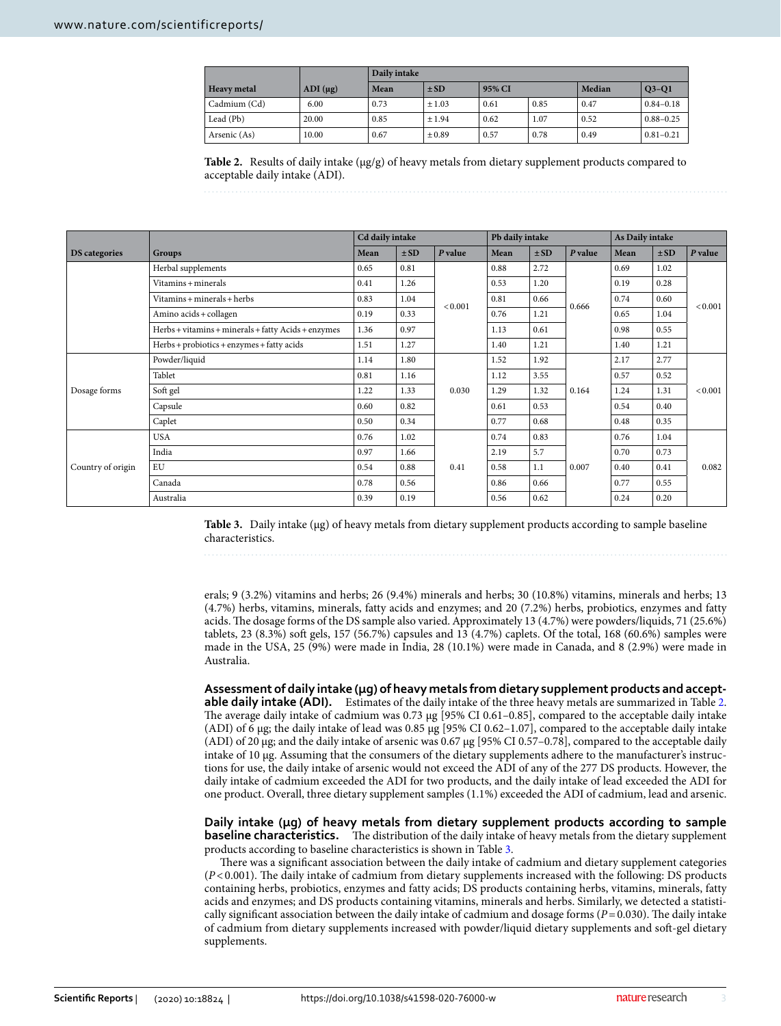|                    |              | Daily intake |          |        |      |        |               |  |  |  |
|--------------------|--------------|--------------|----------|--------|------|--------|---------------|--|--|--|
| <b>Heavy</b> metal | $ADI(\mu g)$ | Mean         | $\pm$ SD | 95% CI |      | Median | $Q3-Q1$       |  |  |  |
| Cadmium (Cd)       | 6.00         | 0.73         | ±1.03    | 0.61   | 0.85 | 0.47   | $0.84 - 0.18$ |  |  |  |
| Lead (Pb)          | 20.00        | 0.85         | $+1.94$  | 0.62   | 1.07 | 0.52   | $0.88 - 0.25$ |  |  |  |
| Arsenic (As)       | 10.00        | 0.67         | ±0.89    | 0.57   | 0.78 | 0.49   | $0.81 - 0.21$ |  |  |  |

<span id="page-2-0"></span>**Table 2.** Results of daily intake (μg/g) of heavy metals from dietary supplement products compared to acceptable daily intake (ADI).

|                   |                                                     | Cd daily intake |          |         | Pb daily intake |          |         | As Daily intake |          |         |
|-------------------|-----------------------------------------------------|-----------------|----------|---------|-----------------|----------|---------|-----------------|----------|---------|
| DS categories     | <b>Groups</b>                                       | Mean            | $\pm SD$ | P value | Mean            | $\pm SD$ | P value | Mean            | $\pm$ SD | P value |
|                   | Herbal supplements                                  | 0.65            | 0.81     |         | 2.72<br>0.88    |          | 0.69    | 1.02            |          |         |
|                   | Vitamins + minerals                                 | 0.41            | 1.26     |         | 0.53            | 1.20     | 0.666   | 0.19            | 0.28     | < 0.001 |
|                   | Vitamins + minerals + herbs                         | 0.83            | 1.04     | < 0.001 | 0.81            | 0.66     |         | 0.74            | 0.60     |         |
|                   | Amino acids + collagen                              | 0.19            | 0.33     |         | 0.76            | 1.21     |         | 0.65            | 1.04     |         |
|                   | Herbs + vitamins + minerals + fatty Acids + enzymes | 1.36            | 0.97     |         | 1.13            | 0.61     |         | 0.98            | 0.55     |         |
|                   | Herbs + probiotics + enzymes + fatty acids          | 1.51            | 1.27     |         | 1.40            | 1.21     |         | 1.40            | 1.21     |         |
|                   | Powder/liquid                                       | 1.14            | 1.80     |         | 1.52            | 1.92     | 0.164   | 2.17            | 2.77     | < 0.001 |
|                   | Tablet                                              | 0.81            | 1.16     |         | 1.12            | 3.55     |         | 0.57            | 0.52     |         |
| Dosage forms      | Soft gel                                            | 1.22            | 1.33     | 0.030   | 1.29            | 1.32     |         | 1.24            | 1.31     |         |
|                   | Capsule                                             | 0.60            | 0.82     |         | 0.61            | 0.53     |         | 0.54            | 0.40     |         |
|                   | Caplet                                              | 0.50            | 0.34     |         | 0.77            | 0.68     |         | 0.48            | 0.35     |         |
|                   | <b>USA</b>                                          | 0.76            | 1.02     |         | 0.74            | 0.83     | 0.007   | 0.76            | 1.04     | 0.082   |
| Country of origin | India                                               | 0.97            | 1.66     |         | 2.19            | 5.7      |         | 0.70            | 0.73     |         |
|                   | EU                                                  | 0.54            | 0.88     | 0.41    | 0.58            | 1.1      |         | 0.40            | 0.41     |         |
|                   | Canada                                              | 0.78            | 0.56     |         | 0.86            | 0.66     |         | 0.77            | 0.55     |         |
|                   | Australia                                           | 0.39            | 0.19     |         | 0.56            | 0.62     |         | 0.24            | 0.20     |         |

<span id="page-2-1"></span>**Table 3.** Daily intake (μg) of heavy metals from dietary supplement products according to sample baseline characteristics.

erals; 9 (3.2%) vitamins and herbs; 26 (9.4%) minerals and herbs; 30 (10.8%) vitamins, minerals and herbs; 13 (4.7%) herbs, vitamins, minerals, fatty acids and enzymes; and 20 (7.2%) herbs, probiotics, enzymes and fatty acids. The dosage forms of the DS sample also varied. Approximately 13 (4.7%) were powders/liquids, 71 (25.6%) tablets, 23 (8.3%) soft gels, 157 (56.7%) capsules and 13 (4.7%) caplets. Of the total, 168 (60.6%) samples were made in the USA, 25 (9%) were made in India, 28 (10.1%) were made in Canada, and 8 (2.9%) were made in Australia.

**Assessment of daily intake (μg) of heavy metals from dietary supplement products and acceptable daily intake (ADI).** Estimates of the daily intake of the three heavy metals are summarized in Table [2](#page-2-0). The average daily intake of cadmium was 0.73 μg [95% CI 0.61–0.85], compared to the acceptable daily intake (ADI) of 6 μg; the daily intake of lead was 0.85 μg [95% CI 0.62–1.07], compared to the acceptable daily intake (ADI) of 20 μg; and the daily intake of arsenic was 0.67 μg [95% CI 0.57–0.78], compared to the acceptable daily intake of 10 μg. Assuming that the consumers of the dietary supplements adhere to the manufacturer's instructions for use, the daily intake of arsenic would not exceed the ADI of any of the 277 DS products. However, the daily intake of cadmium exceeded the ADI for two products, and the daily intake of lead exceeded the ADI for one product. Overall, three dietary supplement samples (1.1%) exceeded the ADI of cadmium, lead and arsenic.

**Daily intake (μg) of heavy metals from dietary supplement products according to sample baseline characteristics.** The distribution of the daily intake of heavy metals from the dietary supplement products according to baseline characteristics is shown in Table [3.](#page-2-1)

There was a significant association between the daily intake of cadmium and dietary supplement categories  $(P<0.001)$ . The daily intake of cadmium from dietary supplements increased with the following: DS products containing herbs, probiotics, enzymes and fatty acids; DS products containing herbs, vitamins, minerals, fatty acids and enzymes; and DS products containing vitamins, minerals and herbs. Similarly, we detected a statistically significant association between the daily intake of cadmium and dosage forms  $(P=0.030)$ . The daily intake of cadmium from dietary supplements increased with powder/liquid dietary supplements and soft-gel dietary supplements.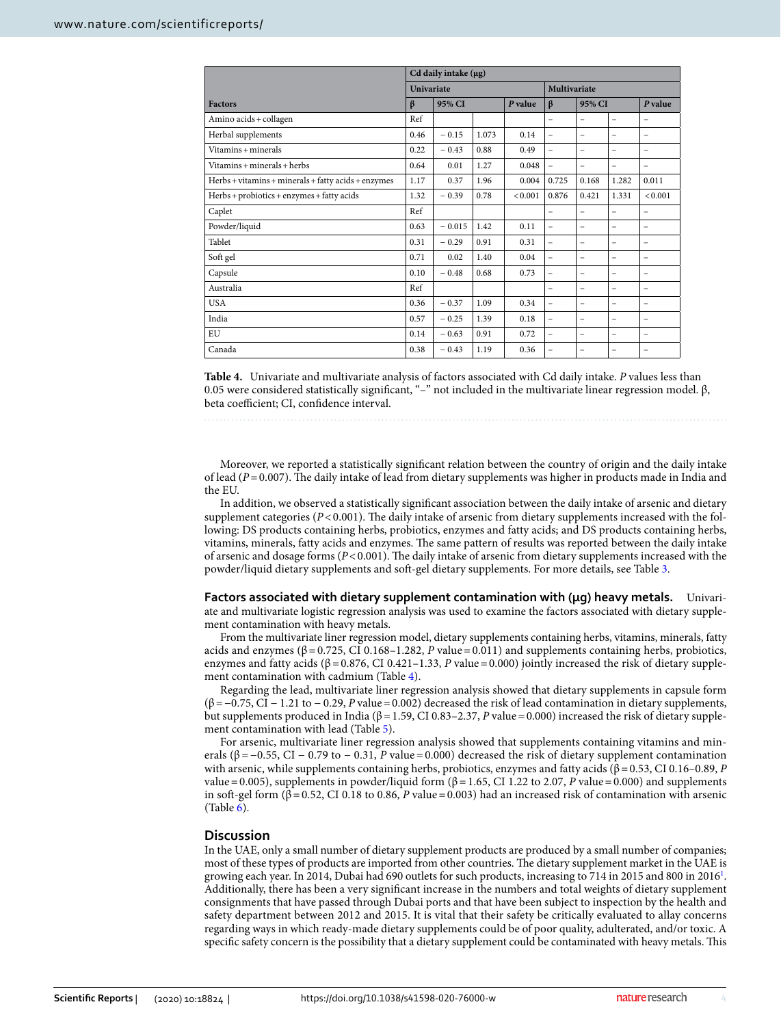|                                                     | Cd daily intake $(\mu g)$ |          |       |                     |                          |                          |                          |                          |
|-----------------------------------------------------|---------------------------|----------|-------|---------------------|--------------------------|--------------------------|--------------------------|--------------------------|
|                                                     | <b>Univariate</b>         |          |       | <b>Multivariate</b> |                          |                          |                          |                          |
| <b>Factors</b>                                      | $\beta$                   | 95% CI   |       | P value             | $\beta$                  | 95% CI                   |                          | P value                  |
| Amino acids + collagen                              | Ref                       |          |       |                     | $\qquad \qquad -$        | $\qquad \qquad -$        | -                        | -                        |
| Herbal supplements                                  | 0.46                      | $-0.15$  | 1.073 | 0.14                | $\overline{\phantom{m}}$ | $\qquad \qquad -$        | -                        | -                        |
| Vitamins + minerals                                 | 0.22                      | $-0.43$  | 0.88  | 0.49                | $\equiv$                 | $\qquad \qquad -$        | -                        | -                        |
| Vitamins + minerals + herbs                         | 0.64                      | 0.01     | 1.27  | 0.048               | $\equiv$                 | $\equiv$                 | $\equiv$                 | $\equiv$                 |
| Herbs + vitamins + minerals + fatty acids + enzymes | 1.17                      | 0.37     | 1.96  | 0.004               | 0.725                    | 0.168                    | 1.282                    | 0.011                    |
| Herbs + probiotics + enzymes + fatty acids          | 1.32                      | $-0.39$  | 0.78  | < 0.001             | 0.876                    | 0.421                    | 1.331                    | < 0.001                  |
| Caplet                                              | Ref                       |          |       |                     | $\qquad \qquad -$        | $\overline{\phantom{0}}$ | $\qquad \qquad -$        | -                        |
| Powder/liquid                                       | 0.63                      | $-0.015$ | 1.42  | 0.11                | $\overline{\phantom{m}}$ | -                        | -                        | -                        |
| Tablet                                              | 0.31                      | $-0.29$  | 0.91  | 0.31                | $\equiv$                 | $\overline{\phantom{0}}$ | $\overline{\phantom{0}}$ | $\overline{\phantom{0}}$ |
| Soft gel                                            | 0.71                      | 0.02     | 1.40  | 0.04                | $\equiv$                 | $\overline{\phantom{0}}$ | $\overline{\phantom{0}}$ | -                        |
| Capsule                                             | 0.10                      | $-0.48$  | 0.68  | 0.73                | $\equiv$                 | -                        | -                        | -                        |
| Australia                                           | Ref                       |          |       |                     | -                        | $\overline{\phantom{0}}$ | -                        | -                        |
| <b>USA</b>                                          | 0.36                      | $-0.37$  | 1.09  | 0.34                | $\overline{\phantom{0}}$ | -                        | -                        | -                        |
| India                                               | 0.57                      | $-0.25$  | 1.39  | 0.18                | $\equiv$                 | $\overline{\phantom{0}}$ | $\overline{\phantom{0}}$ | -                        |
| EU                                                  | 0.14                      | $-0.63$  | 0.91  | 0.72                | $\equiv$                 | -                        | $\overline{\phantom{0}}$ | -                        |
| Canada                                              | 0.38                      | $-0.43$  | 1.19  | 0.36                | $\equiv$                 | $\overline{\phantom{0}}$ | $\overline{\phantom{0}}$ | -                        |

<span id="page-3-0"></span>**Table 4.** Univariate and multivariate analysis of factors associated with Cd daily intake. P values less than 0.05 were considered statistically significant, "–" not included in the multivariate linear regression model. β, beta coefficient; CI, confidence interval.

Moreover, we reported a statistically significant relation between the country of origin and the daily intake of lead ( $P = 0.007$ ). The daily intake of lead from dietary supplements was higher in products made in India and the EU.

In addition, we observed a statistically significant association between the daily intake of arsenic and dietary supplement categories ( $P < 0.001$ ). The daily intake of arsenic from dietary supplements increased with the following: DS products containing herbs, probiotics, enzymes and fatty acids; and DS products containing herbs, vitamins, minerals, fatty acids and enzymes. The same pattern of results was reported between the daily intake of arsenic and dosage forms ( $P < 0.001$ ). The daily intake of arsenic from dietary supplements increased with the powder/liquid dietary supplements and soft-gel dietary supplements. For more details, see Table [3](#page-2-1).

**Factors associated with dietary supplement contamination with (μg) heavy metals.** Univariate and multivariate logistic regression analysis was used to examine the factors associated with dietary supplement contamination with heavy metals.

From the multivariate liner regression model, dietary supplements containing herbs, vitamins, minerals, fatty acids and enzymes (β = 0.725, CI 0.168–1.282, P value = 0.011) and supplements containing herbs, probiotics, enzymes and fatty acids (β = 0.876, CI 0.421–1.33, P value = 0.000) jointly increased the risk of dietary supplement contamination with cadmium (Table [4\)](#page-3-0).

Regarding the lead, multivariate liner regression analysis showed that dietary supplements in capsule form (β = −0.75, CI − 1.21 to − 0.29, P value = 0.002) decreased the risk of lead contamination in dietary supplements, but supplements produced in India ( $β = 1.59$ , CI 0.83–2.37, P value = 0.000) increased the risk of dietary supplement contamination with lead (Table [5](#page-4-0)).

For arsenic, multivariate liner regression analysis showed that supplements containing vitamins and minerals ( $\beta$  = −0.55, CI − 0.79 to − 0.31, P value = 0.000) decreased the risk of dietary supplement contamination with arsenic, while supplements containing herbs, probiotics, enzymes and fatty acids (β = 0.53, CI 0.16–0.89, P value = 0.005), supplements in powder/liquid form ( $β$  = 1.65, CI 1.22 to 2.07, P value = 0.000) and supplements in soft-gel form (β = 0.52, CI 0.18 to 0.86, P value = 0.003) had an increased risk of contamination with arsenic  $(Table 6)$  $(Table 6)$ .

#### **Discussion**

In the UAE, only a small number of dietary supplement products are produced by a small number of companies; most of these types of products are imported from other countries. The dietary supplement market in the UAE is growing each year. In 20[1](#page-7-0)4, Dubai had 690 outlets for such products, increasing to 714 in 2015 and 800 in 2016<sup>1</sup>. Additionally, there has been a very significant increase in the numbers and total weights of dietary supplement consignments that have passed through Dubai ports and that have been subject to inspection by the health and safety department between 2012 and 2015. It is vital that their safety be critically evaluated to allay concerns regarding ways in which ready-made dietary supplements could be of poor quality, adulterated, and/or toxic. A specific safety concern is the possibility that a dietary supplement could be contaminated with heavy metals. This

4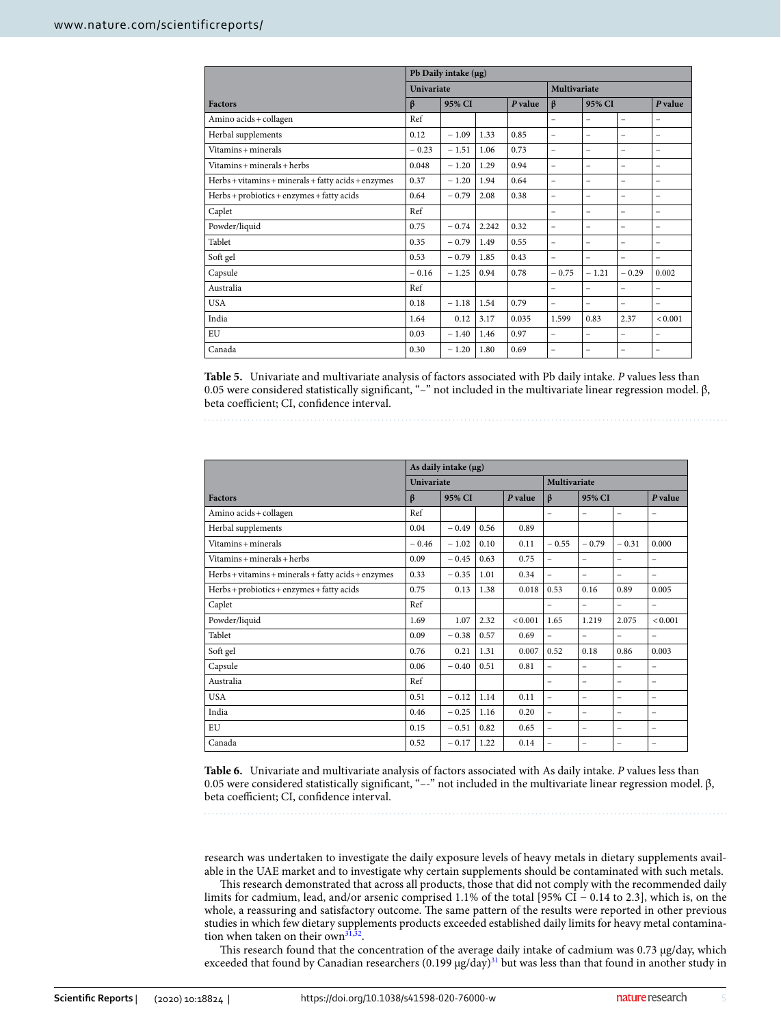|                                                     | Pb Daily intake (µg) |         |       |         |                          |                          |                          |                          |  |         |
|-----------------------------------------------------|----------------------|---------|-------|---------|--------------------------|--------------------------|--------------------------|--------------------------|--|---------|
|                                                     | Univariate           |         |       |         | <b>Multivariate</b>      |                          |                          |                          |  |         |
| <b>Factors</b>                                      | β                    | 95% CI  |       | P value |                          |                          | $\beta$                  | 95% CI                   |  | P value |
| Amino acids + collagen                              | Ref                  |         |       |         | $\qquad \qquad -$        | $\overline{\phantom{0}}$ | $\overline{\phantom{m}}$ | -                        |  |         |
| Herbal supplements                                  | 0.12                 | $-1.09$ | 1.33  | 0.85    | $\equiv$                 | $\qquad \qquad -$        | $\overline{\phantom{0}}$ | $\qquad \qquad -$        |  |         |
| Vitamins + minerals                                 | $-0.23$              | $-1.51$ | 1.06  | 0.73    | $\equiv$                 | -                        | $\qquad \qquad -$        | -                        |  |         |
| $V$ itamins + minerals + herbs                      | 0.048                | $-1.20$ | 1.29  | 0.94    | $\equiv$                 | -                        | $\overline{\phantom{0}}$ | -                        |  |         |
| Herbs + vitamins + minerals + fatty acids + enzymes | 0.37                 | $-1.20$ | 1.94  | 0.64    | $\equiv$                 | -                        | $\overline{\phantom{0}}$ | -                        |  |         |
| Herbs + probiotics + enzymes + fatty acids          | 0.64                 | $-0.79$ | 2.08  | 0.38    | $\equiv$                 | -                        | $\overline{\phantom{0}}$ | -                        |  |         |
| Caplet                                              | Ref                  |         |       |         | $\overline{\phantom{0}}$ | -                        | $\overline{\phantom{0}}$ | -                        |  |         |
| Powder/liquid                                       | 0.75                 | $-0.74$ | 2.242 | 0.32    | $\equiv$                 | -                        | $\overline{\phantom{a}}$ | -                        |  |         |
| Tablet                                              | 0.35                 | $-0.79$ | 1.49  | 0.55    | $\overline{\phantom{m}}$ | -                        | $\overline{\phantom{a}}$ | -                        |  |         |
| Soft gel                                            | 0.53                 | $-0.79$ | 1.85  | 0.43    | $\equiv$                 | $\equiv$                 | $\overline{\phantom{a}}$ | -                        |  |         |
| Capsule                                             | $-0.16$              | $-1.25$ | 0.94  | 0.78    | $-0.75$                  | $-1.21$                  | $-0.29$                  | 0.002                    |  |         |
| Australia                                           | Ref                  |         |       |         | $\qquad \qquad -$        | $\overline{\phantom{0}}$ | $\overline{\phantom{0}}$ | $\overline{\phantom{0}}$ |  |         |
| <b>USA</b>                                          | 0.18                 | $-1.18$ | 1.54  | 0.79    | $\equiv$                 | -                        | $\overline{\phantom{a}}$ | -                        |  |         |
| India                                               | 1.64                 | 0.12    | 3.17  | 0.035   | 1.599                    | 0.83                     | 2.37                     | < 0.001                  |  |         |
| EU                                                  | 0.03                 | $-1.40$ | 1.46  | 0.97    | $\overline{\phantom{0}}$ | -                        | $\overline{\phantom{0}}$ | -                        |  |         |
| Canada                                              | 0.30                 | $-1.20$ | 1.80  | 0.69    | $\overline{\phantom{0}}$ | -                        | $\qquad \qquad -$        | -                        |  |         |

<span id="page-4-0"></span>**Table 5.** Univariate and multivariate analysis of factors associated with Pb daily intake. P values less than 0.05 were considered statistically significant, "–" not included in the multivariate linear regression model. β, beta coefficient; CI, confidence interval.

|                                                     | As daily intake $(\mu g)$ |         |      |              |                          |                          |                   |                          |  |
|-----------------------------------------------------|---------------------------|---------|------|--------------|--------------------------|--------------------------|-------------------|--------------------------|--|
|                                                     | Univariate                |         |      | Multivariate |                          |                          |                   |                          |  |
| <b>Factors</b>                                      | $\beta$                   | 95% CI  |      | P value      | $\beta$                  | 95% CI                   |                   | P value                  |  |
| Amino acids + collagen                              | Ref                       |         |      |              | $\qquad \qquad -$        | -                        | $\qquad \qquad -$ | -                        |  |
| Herbal supplements                                  | 0.04                      | $-0.49$ | 0.56 | 0.89         |                          |                          |                   |                          |  |
| Vitamins + minerals                                 | $-0.46$                   | $-1.02$ | 0.10 | 0.11         | $-0.55$                  | $-0.79$                  | $-0.31$           | 0.000                    |  |
| $V$ itamins + minerals + herbs                      | 0.09                      | $-0.45$ | 0.63 | 0.75         | $\equiv$                 | -                        | -                 | $\overline{\phantom{0}}$ |  |
| Herbs + vitamins + minerals + fatty acids + enzymes | 0.33                      | $-0.35$ | 1.01 | 0.34         | $\equiv$                 | -                        | -                 | $\qquad \qquad -$        |  |
| Herbs + probiotics + enzymes + fatty acids          | 0.75                      | 0.13    | 1.38 | 0.018        | 0.53                     | 0.16                     | 0.89              | 0.005                    |  |
| Caplet                                              | Ref                       |         |      |              | $\qquad \qquad -$        | $\qquad \qquad -$        | $\qquad \qquad -$ | $\overline{\phantom{0}}$ |  |
| Powder/liquid                                       | 1.69                      | 1.07    | 2.32 | < 0.001      | 1.65                     | 1.219                    | 2.075             | < 0.001                  |  |
| Tablet                                              | 0.09                      | $-0.38$ | 0.57 | 0.69         | $\qquad \qquad -$        | -                        | $\qquad \qquad -$ | $\overline{\phantom{0}}$ |  |
| Soft gel                                            | 0.76                      | 0.21    | 1.31 | 0.007        | 0.52                     | 0.18                     | 0.86              | 0.003                    |  |
| Capsule                                             | 0.06                      | $-0.40$ | 0.51 | 0.81         | $\overline{\phantom{a}}$ | $\overline{\phantom{0}}$ | -                 | $\overline{\phantom{0}}$ |  |
| Australia                                           | Ref                       |         |      |              | $\qquad \qquad -$        | -                        | -                 | -                        |  |
| <b>USA</b>                                          | 0.51                      | $-0.12$ | 1.14 | 0.11         | $\qquad \qquad -$        | -                        | -                 | -                        |  |
| India                                               | 0.46                      | $-0.25$ | 1.16 | 0.20         | $\equiv$                 | $\overline{\phantom{0}}$ | -                 | -                        |  |
| <b>EU</b>                                           | 0.15                      | $-0.51$ | 0.82 | 0.65         | $\equiv$                 | -                        | -                 | -                        |  |
| Canada                                              | 0.52                      | $-0.17$ | 1.22 | 0.14         | $\equiv$                 | $\overline{\phantom{0}}$ | -                 | -                        |  |

<span id="page-4-1"></span>**Table 6.** Univariate and multivariate analysis of factors associated with As daily intake. P values less than 0.05 were considered statistically significant, "–-" not included in the multivariate linear regression model. β, beta coefficient; CI, confidence interval.

research was undertaken to investigate the daily exposure levels of heavy metals in dietary supplements available in the UAE market and to investigate why certain supplements should be contaminated with such metals.

This research demonstrated that across all products, those that did not comply with the recommended daily limits for cadmium, lead, and/or arsenic comprised 1.1% of the total [95% CI − 0.14 to 2.3], which is, on the whole, a reassuring and satisfactory outcome. The same pattern of the results were reported in other previous studies in which few dietary supplements products exceeded established daily limits for heavy metal contamina-tion when taken on their own<sup>[31,](#page-7-25)[32](#page-7-26)</sup>.

This research found that the concentration of the average daily intake of cadmium was 0.73 μg/day, which exceeded that found by Canadian researchers (0.199 μg/day)<sup>[31](#page-7-25)</sup> but was less than that found in another study in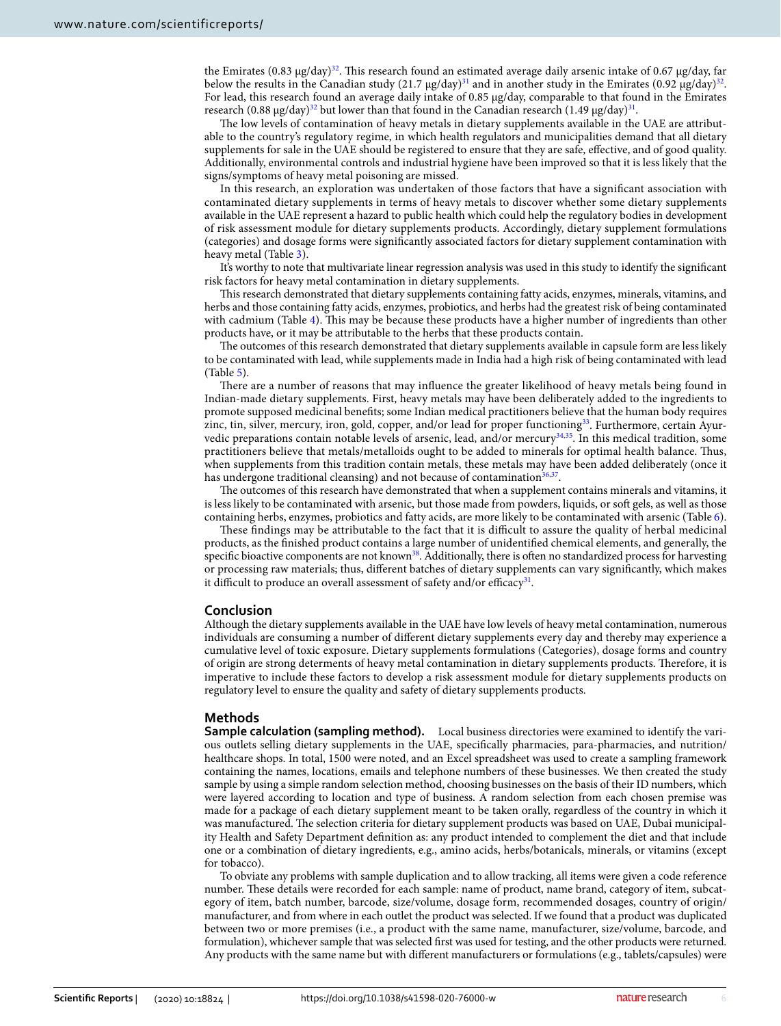the Emirates (0.83 μg/day)<sup>[32](#page-7-26)</sup>. This research found an estimated average daily arsenic intake of 0.67 μg/day, far below the results in the Canadian study (21.7  $\mu$ g/day)<sup>[31](#page-7-25)</sup> and in another study in the Emirates (0.92  $\mu$ g/day)<sup>[32](#page-7-26)</sup>. For lead, this research found an average daily intake of 0.85 μg/day, comparable to that found in the Emirates research (0.88 μg/day) $^{32}$  $^{32}$  $^{32}$  but lower than that found in the Canadian research (1.49 μg/day) $^{31}$  $^{31}$  $^{31}$ .

The low levels of contamination of heavy metals in dietary supplements available in the UAE are attributable to the country's regulatory regime, in which health regulators and municipalities demand that all dietary supplements for sale in the UAE should be registered to ensure that they are safe, effective, and of good quality. Additionally, environmental controls and industrial hygiene have been improved so that it is less likely that the signs/symptoms of heavy metal poisoning are missed.

In this research, an exploration was undertaken of those factors that have a significant association with contaminated dietary supplements in terms of heavy metals to discover whether some dietary supplements available in the UAE represent a hazard to public health which could help the regulatory bodies in development of risk assessment module for dietary supplements products. Accordingly, dietary supplement formulations (categories) and dosage forms were significantly associated factors for dietary supplement contamination with heavy metal (Table [3](#page-2-1)).

It's worthy to note that multivariate linear regression analysis was used in this study to identify the significant risk factors for heavy metal contamination in dietary supplements.

This research demonstrated that dietary supplements containing fatty acids, enzymes, minerals, vitamins, and herbs and those containing fatty acids, enzymes, probiotics, and herbs had the greatest risk of being contaminated with cadmium (Table [4\)](#page-3-0). This may be because these products have a higher number of ingredients than other products have, or it may be attributable to the herbs that these products contain.

The outcomes of this research demonstrated that dietary supplements available in capsule form are less likely to be contaminated with lead, while supplements made in India had a high risk of being contaminated with lead (Table [5\)](#page-4-0).

There are a number of reasons that may influence the greater likelihood of heavy metals being found in Indian-made dietary supplements. First, heavy metals may have been deliberately added to the ingredients to promote supposed medicinal benefits; some Indian medical practitioners believe that the human body requires zinc, tin, silver, mercury, iron, gold, copper, and/or lead for proper functioning<sup>[33](#page-7-27)</sup>. Furthermore, certain Ayur-vedic preparations contain notable levels of arsenic, lead, and/or mercury<sup>[34,](#page-7-28)[35](#page-7-29)</sup>. In this medical tradition, some practitioners believe that metals/metalloids ought to be added to minerals for optimal health balance. Thus, when supplements from this tradition contain metals, these metals may have been added deliberately (once it has undergone traditional cleansing) and not because of contamination<sup>[36](#page-7-30)[,37](#page-8-0)</sup>.

The outcomes of this research have demonstrated that when a supplement contains minerals and vitamins, it is less likely to be contaminated with arsenic, but those made from powders, liquids, or soft gels, as well as those containing herbs, enzymes, probiotics and fatty acids, are more likely to be contaminated with arsenic (Table [6\)](#page-4-1).

These findings may be attributable to the fact that it is difficult to assure the quality of herbal medicinal products, as the finished product contains a large number of unidentified chemical elements, and generally, the specific bioactive components are not known<sup>[38](#page-8-1)</sup>. Additionally, there is often no standardized process for harvesting or processing raw materials; thus, different batches of dietary supplements can vary significantly, which makes it difficult to produce an overall assessment of safety and/or efficacy<sup>[31](#page-7-25)</sup>.

#### **Conclusion**

Although the dietary supplements available in the UAE have low levels of heavy metal contamination, numerous individuals are consuming a number of different dietary supplements every day and thereby may experience a cumulative level of toxic exposure. Dietary supplements formulations (Categories), dosage forms and country of origin are strong determents of heavy metal contamination in dietary supplements products. Therefore, it is imperative to include these factors to develop a risk assessment module for dietary supplements products on regulatory level to ensure the quality and safety of dietary supplements products.

#### **Methods**

**Sample calculation (sampling method).** Local business directories were examined to identify the various outlets selling dietary supplements in the UAE, specifically pharmacies, para-pharmacies, and nutrition/ healthcare shops. In total, 1500 were noted, and an Excel spreadsheet was used to create a sampling framework containing the names, locations, emails and telephone numbers of these businesses. We then created the study sample by using a simple random selection method, choosing businesses on the basis of their ID numbers, which were layered according to location and type of business. A random selection from each chosen premise was made for a package of each dietary supplement meant to be taken orally, regardless of the country in which it was manufactured. The selection criteria for dietary supplement products was based on UAE, Dubai municipality Health and Safety Department definition as: any product intended to complement the diet and that include one or a combination of dietary ingredients, e.g., amino acids, herbs/botanicals, minerals, or vitamins (except for tobacco).

To obviate any problems with sample duplication and to allow tracking, all items were given a code reference number. These details were recorded for each sample: name of product, name brand, category of item, subcategory of item, batch number, barcode, size/volume, dosage form, recommended dosages, country of origin/ manufacturer, and from where in each outlet the product was selected. If we found that a product was duplicated between two or more premises (i.e., a product with the same name, manufacturer, size/volume, barcode, and formulation), whichever sample that was selected first was used for testing, and the other products were returned. Any products with the same name but with different manufacturers or formulations (e.g., tablets/capsules) were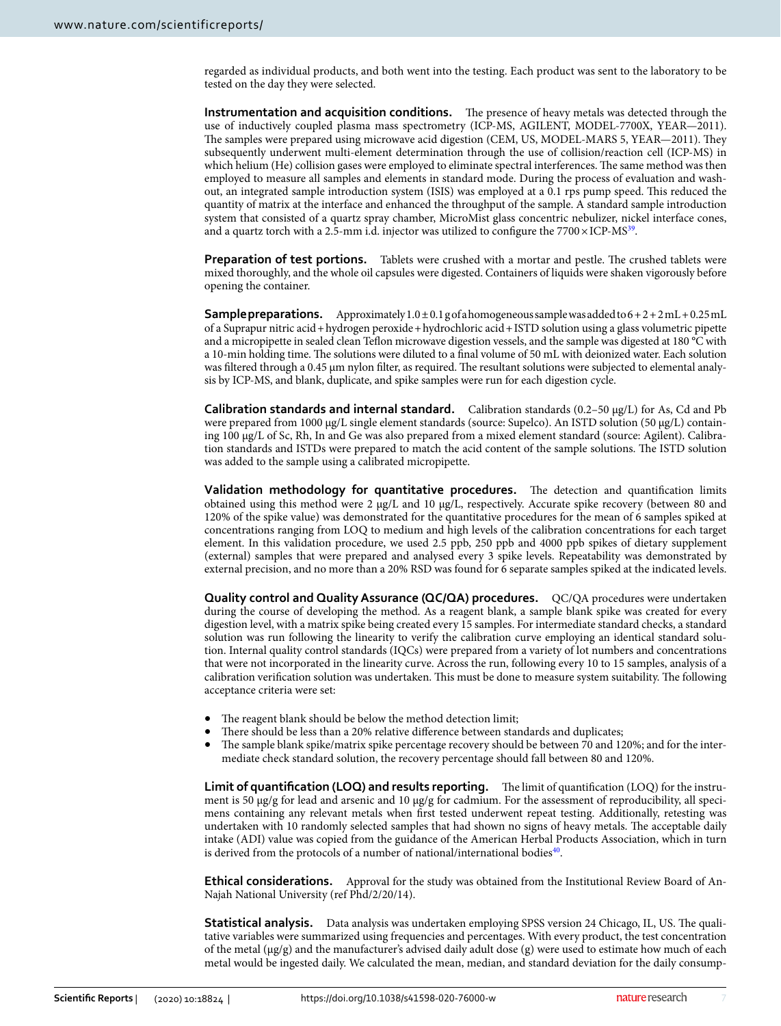regarded as individual products, and both went into the testing. Each product was sent to the laboratory to be tested on the day they were selected.

**Instrumentation and acquisition conditions.** The presence of heavy metals was detected through the use of inductively coupled plasma mass spectrometry (ICP-MS, AGILENT, MODEL-7700X, YEAR—2011). The samples were prepared using microwave acid digestion (CEM, US, MODEL-MARS 5, YEAR—2011). They subsequently underwent multi-element determination through the use of collision/reaction cell (ICP-MS) in which helium (He) collision gases were employed to eliminate spectral interferences. The same method was then employed to measure all samples and elements in standard mode. During the process of evaluation and washout, an integrated sample introduction system (ISIS) was employed at a 0.1 rps pump speed. This reduced the quantity of matrix at the interface and enhanced the throughput of the sample. A standard sample introduction system that consisted of a quartz spray chamber, MicroMist glass concentric nebulizer, nickel interface cones, and a quartz torch with a 2.5-mm i.d. injector was utilized to configure the 7700 $\times$ ICP-MS $^{39}$  $^{39}$  $^{39}$ .

**Preparation of test portions.** Tablets were crushed with a mortar and pestle. The crushed tablets were mixed thoroughly, and the whole oil capsules were digested. Containers of liquids were shaken vigorously before opening the container.

**Sample preparations.** Approximately  $1.0 \pm 0.1$  g of a homogeneous sample was added to  $6 + 2 + 2$  mL + 0.25 mL of a Suprapur nitric acid + hydrogen peroxide + hydrochloric acid + ISTD solution using a glass volumetric pipette and a micropipette in sealed clean Teflon microwave digestion vessels, and the sample was digested at 180 °C with a 10-min holding time. The solutions were diluted to a final volume of 50 mL with deionized water. Each solution was filtered through a 0.45 µm nylon filter, as required. The resultant solutions were subjected to elemental analysis by ICP-MS, and blank, duplicate, and spike samples were run for each digestion cycle.

**Calibration standards and internal standard.** Calibration standards (0.2–50 µg/L) for As, Cd and Pb were prepared from 1000 µg/L single element standards (source: Supelco). An ISTD solution (50 µg/L) containing 100 µg/L of Sc, Rh, In and Ge was also prepared from a mixed element standard (source: Agilent). Calibration standards and ISTDs were prepared to match the acid content of the sample solutions. The ISTD solution was added to the sample using a calibrated micropipette.

**Validation methodology for quantitative procedures.** The detection and quantification limits obtained using this method were 2 µg/L and 10 µg/L, respectively. Accurate spike recovery (between 80 and 120% of the spike value) was demonstrated for the quantitative procedures for the mean of 6 samples spiked at concentrations ranging from LOQ to medium and high levels of the calibration concentrations for each target element. In this validation procedure, we used 2.5 ppb, 250 ppb and 4000 ppb spikes of dietary supplement (external) samples that were prepared and analysed every 3 spike levels. Repeatability was demonstrated by external precision, and no more than a 20% RSD was found for 6 separate samples spiked at the indicated levels.

**Quality control and Quality Assurance (QC/QA) procedures.** QC/QA procedures were undertaken during the course of developing the method. As a reagent blank, a sample blank spike was created for every digestion level, with a matrix spike being created every 15 samples. For intermediate standard checks, a standard solution was run following the linearity to verify the calibration curve employing an identical standard solution. Internal quality control standards (IQCs) were prepared from a variety of lot numbers and concentrations that were not incorporated in the linearity curve. Across the run, following every 10 to 15 samples, analysis of a calibration verification solution was undertaken. This must be done to measure system suitability. The following acceptance criteria were set:

- The reagent blank should be below the method detection limit;
- There should be less than a 20% relative difference between standards and duplicates;
- The sample blank spike/matrix spike percentage recovery should be between 70 and 120%; and for the intermediate check standard solution, the recovery percentage should fall between 80 and 120%.

**Limit of quantification (LOQ) and results reporting.** The limit of quantification (LOQ) for the instrument is 50 μg/g for lead and arsenic and 10 μg/g for cadmium. For the assessment of reproducibility, all specimens containing any relevant metals when first tested underwent repeat testing. Additionally, retesting was undertaken with 10 randomly selected samples that had shown no signs of heavy metals. The acceptable daily intake (ADI) value was copied from the guidance of the American Herbal Products Association, which in turn is derived from the protocols of a number of national/international bodies<sup>[40](#page-8-3)</sup>.

**Ethical considerations.** Approval for the study was obtained from the Institutional Review Board of An-Najah National University (ref Phd/2/20/14).

**Statistical analysis.** Data analysis was undertaken employing SPSS version 24 Chicago, IL, US. The qualitative variables were summarized using frequencies and percentages. With every product, the test concentration of the metal ( $\mu$ g/g) and the manufacturer's advised daily adult dose (g) were used to estimate how much of each metal would be ingested daily. We calculated the mean, median, and standard deviation for the daily consump-

7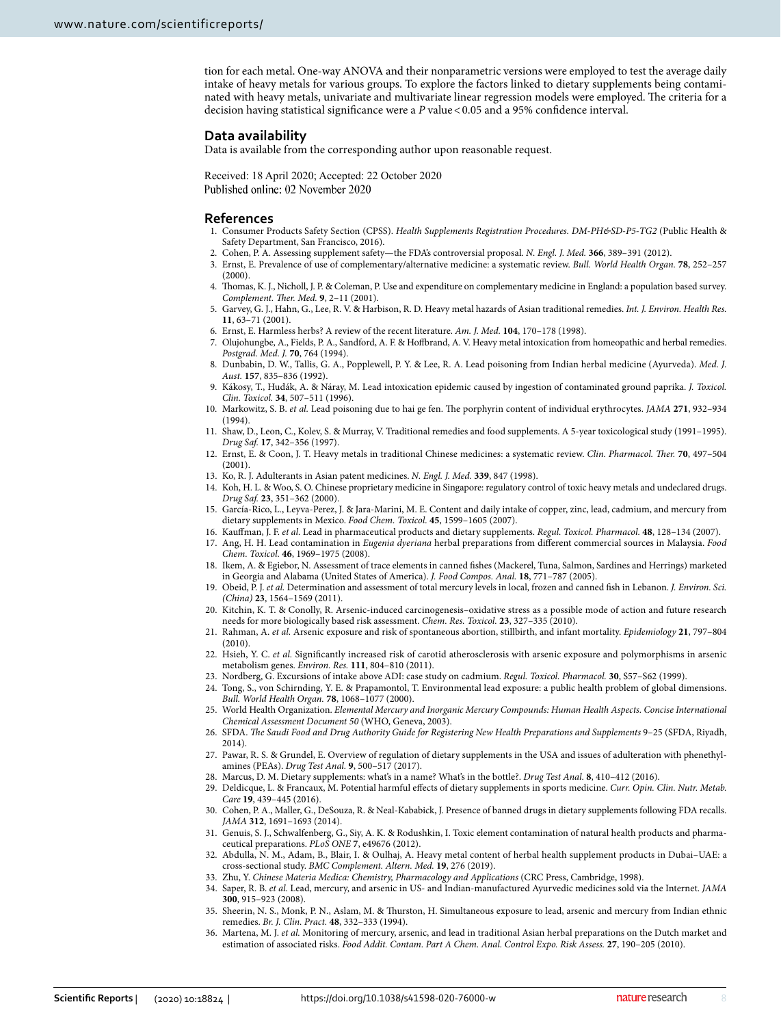tion for each metal. One-way ANOVA and their nonparametric versions were employed to test the average daily intake of heavy metals for various groups. To explore the factors linked to dietary supplements being contaminated with heavy metals, univariate and multivariate linear regression models were employed. The criteria for a decision having statistical significance were a P value < 0.05 and a 95% confidence interval.

#### **Data availability**

Data is available from the corresponding author upon reasonable request.

Received: 18 April 2020; Accepted: 22 October 2020

#### **References**

- <span id="page-7-0"></span>1. Consumer Products Safety Section (CPSS). Health Supplements Registration Procedures. DM-PH&SD-P5-TG2 (Public Health & Safety Department, San Francisco, 2016).
- <span id="page-7-1"></span>2. Cohen, P. A. Assessing supplement safety—the FDA's controversial proposal. N. Engl. J. Med. **366**, 389–391 (2012).
- <span id="page-7-2"></span> 3. Ernst, E. Prevalence of use of complementary/alternative medicine: a systematic review. Bull. World Health Organ. **78**, 252–257 (2000).
- <span id="page-7-3"></span> 4. Thomas, K. J., Nicholl, J. P. & Coleman, P. Use and expenditure on complementary medicine in England: a population based survey. Complement. Ther. Med. **9**, 2–11 (2001).
- <span id="page-7-4"></span>5. Garvey, G. J., Hahn, G., Lee, R. V. & Harbison, R. D. Heavy metal hazards of Asian traditional remedies. Int. J. Environ. Health Res. **11**, 63–71 (2001).
- <span id="page-7-5"></span>6. Ernst, E. Harmless herbs? A review of the recent literature. Am. J. Med. **104**, 170–178 (1998).
- <span id="page-7-6"></span> 7. Olujohungbe, A., Fields, P. A., Sandford, A. F. & Hoffbrand, A. V. Heavy metal intoxication from homeopathic and herbal remedies. Postgrad. Med. J. **70**, 764 (1994).
- 8. Dunbabin, D. W., Tallis, G. A., Popplewell, P. Y. & Lee, R. A. Lead poisoning from Indian herbal medicine (Ayurveda). Med. J. Aust. **157**, 835–836 (1992).
- 9. Kákosy, T., Hudák, A. & Náray, M. Lead intoxication epidemic caused by ingestion of contaminated ground paprika. J. Toxicol. Clin. Toxicol. **34**, 507–511 (1996).
- <span id="page-7-7"></span> 10. Markowitz, S. B. et al. Lead poisoning due to hai ge fen. The porphyrin content of individual erythrocytes. JAMA **271**, 932–934 (1994).
- <span id="page-7-8"></span> 11. Shaw, D., Leon, C., Kolev, S. & Murray, V. Traditional remedies and food supplements. A 5-year toxicological study (1991–1995). Drug Saf. **17**, 342–356 (1997).
- <span id="page-7-9"></span> 12. Ernst, E. & Coon, J. T. Heavy metals in traditional Chinese medicines: a systematic review. Clin. Pharmacol. Ther. **70**, 497–504 (2001).
- <span id="page-7-10"></span>13. Ko, R. J. Adulterants in Asian patent medicines. N. Engl. J. Med. **339**, 847 (1998).
- <span id="page-7-11"></span> 14. Koh, H. L. & Woo, S. O. Chinese proprietary medicine in Singapore: regulatory control of toxic heavy metals and undeclared drugs. Drug Saf. **23**, 351–362 (2000).
- <span id="page-7-12"></span> 15. García-Rico, L., Leyva-Perez, J. & Jara-Marini, M. E. Content and daily intake of copper, zinc, lead, cadmium, and mercury from dietary supplements in Mexico. Food Chem. Toxicol. **45**, 1599–1605 (2007).
- 16. Kauffman, J. F. et al. Lead in pharmaceutical products and dietary supplements. Regul. Toxicol. Pharmacol. **48**, 128–134 (2007). 17. Ang, H. H. Lead contamination in Eugenia dyeriana herbal preparations from different commercial sources in Malaysia. Food
- Chem. Toxicol. **46**, 1969–1975 (2008).
- <span id="page-7-13"></span> 18. Ikem, A. & Egiebor, N. Assessment of trace elements in canned fishes (Mackerel, Tuna, Salmon, Sardines and Herrings) marketed in Georgia and Alabama (United States of America). J. Food Compos. Anal. **18**, 771–787 (2005).
- <span id="page-7-14"></span>19. Obeid, P. J. et al. Determination and assessment of total mercury levels in local, frozen and canned fish in Lebanon. J. Environ. Sci. (China) **23**, 1564–1569 (2011).
- <span id="page-7-15"></span> 20. Kitchin, K. T. & Conolly, R. Arsenic-induced carcinogenesis–oxidative stress as a possible mode of action and future research needs for more biologically based risk assessment. Chem. Res. Toxicol. **23**, 327–335 (2010).
- <span id="page-7-16"></span> 21. Rahman, A. et al. Arsenic exposure and risk of spontaneous abortion, stillbirth, and infant mortality. Epidemiology **21**, 797–804 (2010).
- <span id="page-7-17"></span>22. Hsieh, Y. C. et al. Significantly increased risk of carotid atherosclerosis with arsenic exposure and polymorphisms in arsenic metabolism genes. Environ. Res. **111**, 804–810 (2011).
- <span id="page-7-18"></span>23. Nordberg, G. Excursions of intake above ADI: case study on cadmium. Regul. Toxicol. Pharmacol. **30**, S57–S62 (1999).
- <span id="page-7-19"></span> 24. Tong, S., von Schirnding, Y. E. & Prapamontol, T. Environmental lead exposure: a public health problem of global dimensions. Bull. World Health Organ. **78**, 1068–1077 (2000).
- <span id="page-7-20"></span> 25. World Health Organization. Elemental Mercury and Inorganic Mercury Compounds: Human Health Aspects. Concise International Chemical Assessment Document 50 (WHO, Geneva, 2003).
- <span id="page-7-21"></span> 26. SFDA. The Saudi Food and Drug Authority Guide for Registering New Health Preparations and Supplements 9–25 (SFDA, Riyadh, 2014).
- <span id="page-7-22"></span> 27. Pawar, R. S. & Grundel, E. Overview of regulation of dietary supplements in the USA and issues of adulteration with phenethylamines (PEAs). Drug Test Anal. **9**, 500–517 (2017).
- <span id="page-7-23"></span>28. Marcus, D. M. Dietary supplements: what's in a name? What's in the bottle?. Drug Test Anal. **8**, 410–412 (2016).
- 29. Deldicque, L. & Francaux, M. Potential harmful effects of dietary supplements in sports medicine. Curr. Opin. Clin. Nutr. Metab. Care **19**, 439–445 (2016).
- <span id="page-7-24"></span> 30. Cohen, P. A., Maller, G., DeSouza, R. & Neal-Kababick, J. Presence of banned drugs in dietary supplements following FDA recalls. JAMA **312**, 1691–1693 (2014).
- <span id="page-7-25"></span> 31. Genuis, S. J., Schwalfenberg, G., Siy, A. K. & Rodushkin, I. Toxic element contamination of natural health products and pharmaceutical preparations. PLoS ONE **7**, e49676 (2012).
- <span id="page-7-26"></span> 32. Abdulla, N. M., Adam, B., Blair, I. & Oulhaj, A. Heavy metal content of herbal health supplement products in Dubai–UAE: a cross-sectional study. BMC Complement. Altern. Med. **19**, 276 (2019).
- <span id="page-7-27"></span>33. Zhu, Y. Chinese Materia Medica: Chemistry, Pharmacology and Applications (CRC Press, Cambridge, 1998).
- <span id="page-7-28"></span>34. Saper, R. B. et al. Lead, mercury, and arsenic in US- and Indian-manufactured Ayurvedic medicines sold via the Internet. JAMA **300**, 915–923 (2008).
- <span id="page-7-29"></span> 35. Sheerin, N. S., Monk, P. N., Aslam, M. & Thurston, H. Simultaneous exposure to lead, arsenic and mercury from Indian ethnic remedies. Br. J. Clin. Pract. **48**, 332–333 (1994).
- <span id="page-7-30"></span> 36. Martena, M. J. et al. Monitoring of mercury, arsenic, and lead in traditional Asian herbal preparations on the Dutch market and estimation of associated risks. Food Addit. Contam. Part A Chem. Anal. Control Expo. Risk Assess. **27**, 190–205 (2010).